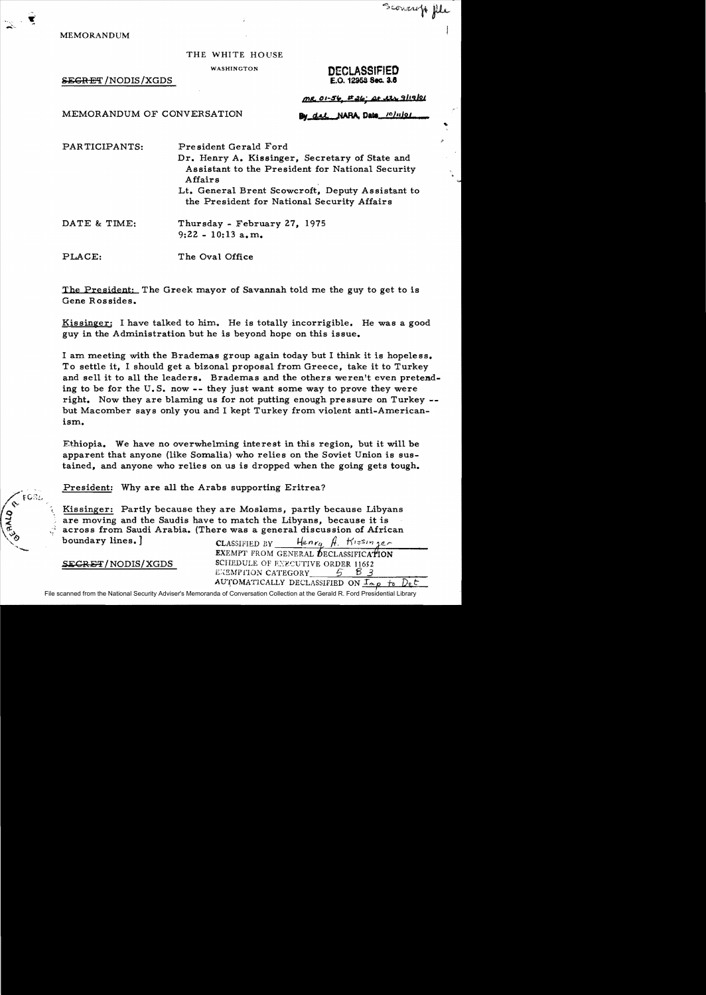MEMORANDUM

## THE WHITE HOUSE

 $S_{\text{EGRET}}/NODIS/XGDS$ 

WASHINGTON DECLASSIFIED

Scovereft fle

<u>MR 01-56 E26 At its 9/19/21</u>

MEMORANDUM OF CONVERSATION

del NARA Date 10/11/01

PAR TICIPANTS: President Gerald Ford Dr. Henry A. Kissinger, Secretary of State and Assistant to the President for National Security Affairs Lt. General Brent Scowcroft, Deputy Assistant to the President for National Security Affairs

DATE & TIME: Thursday - February 27, 1975 9:22 - 10:13 a.m.

PLACE: The Oval Office

The President: The Greek mayor of Savannah told me the guy to get to is Gene Rossides.

Kissinger: I have talked to him. He is totally incorrigible. He was a good guy in the Administration but he is beyond hope on this issue.

I am meeting with the Brademas group again today but I think it is hopeless. To settle it, I should get a bizonal proposal from Greece, take it to Turkey and sell it to all the leaders. Brademas and the others weren't even pretending to be for the  $U.S.$  now  $-$ - they just want some way to prove they were right. Now they are blaming us for not putting enough pressure on Turkey but Macomber says only you and I kept Turkey from violent anti-Americanism.

Ethiopia. We have no overwhelming interest in this region, but it will be apparent that anyone (like Somalia) who relies on the Soviet Union is sustained, and anyone who relies on us is dropped when the going gets tough.

President: Why are all the Arabs supporting Eritrea?

Kissinger: Partly because they are Moslems, partly because Libyans are moving and the Saudis have to match the Libyans, because it is across from Saudi Arabia. (There was a general discussion of African boundary lines. J CLASSIFIED BY Henry  $\hat{H}$ . Kissinger

EXEMPT FROM GENERAL DECLASSIFICATION SEGRET/NODIS/XGDS SCHEDULE OF EXECUTIVE ORDER 11652 EXEMPTION CATEGORY  $\overline{3}$  B 3 AUTOMATICALLY DECLASSIFIED ON  $I_{\alpha,p}$  to Det

File scanned from the National Security Adviser's Memoranda of Conversation Collection at the Gerald R. Ford Presidential Library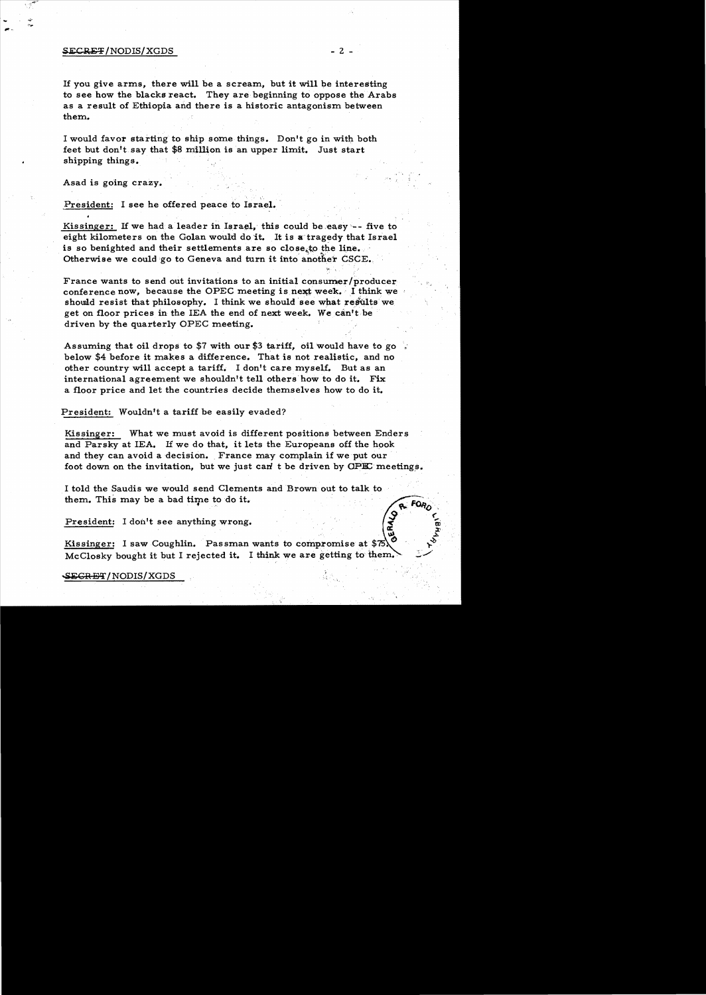## $SECREF/NODIS/XGDS$  - 2 -

If you give arms, there will be a scream, but it will be interesting to see how the blacks react. They are beginning to oppose the Arabs as a result of Ethiopia and there is a historic antagonism between them.

I would favor starting to ship some things. Don't go in with both feet but don't say that \$8 million is an upper limit. Just start shipping things.

Asad is going crazy.

President: I see he offered peace to Israel.

Kissinger: If we had a leader in Israel, this could be easy -- five to eight kilometers on the Golan would do it. It is a tragedy that Israel is so benighted and their settlements are so close, to the line. Otherwise we could go to Geneva and turn it into another CSCE.

France wants to send out invitations to an initial consumer/producer conference now, because the OPEC meeting is next week. I think we should resist that philosophy. I think we should see what results we get on floor prices in the lEA the end of next week. We can't be driven by the quarterly OPEC meeting.

Assuming that oil drops to \$7 with our \$3 tariff, oil would have to go  $\frac{1}{2}$ below \$4 before it makes a difference. That is not realistic, and no other country will accept a tariff.. I don't care myself. But as an international agreement we shouldn't tell others how to do it. Fix a floor price and let the countries decide themselves how to do it.

President: Wouldn't a tariff be easily evaded?

Kissinger: What we must avoid is different positions between Enders and Parsky at lEA. If we do that, it lets the Europeans off the hook and they can avoid a decision. France may complain if we put our foot down on the invitation, but we just can't be driven by OPIC meetings.

I told the Saudis we would send Clements and Brown out to talk to them. This may be a bad time to do it.

President: I don't see anything wrong.

Kissinger: I saw Coughlin. Passman wants to compromise at  $$75\text{\textbackslash}^{\circ}$$ McClosky bought it but I rejected it. I think we are getting to them.  $\sim$   $\sim$ 

SEGRET/NODIS/XGDS

..... .

ERALO

 $\tilde{\bm{w}}$  .  $\mathbf{r}$  $\boldsymbol{\tilde{r}}$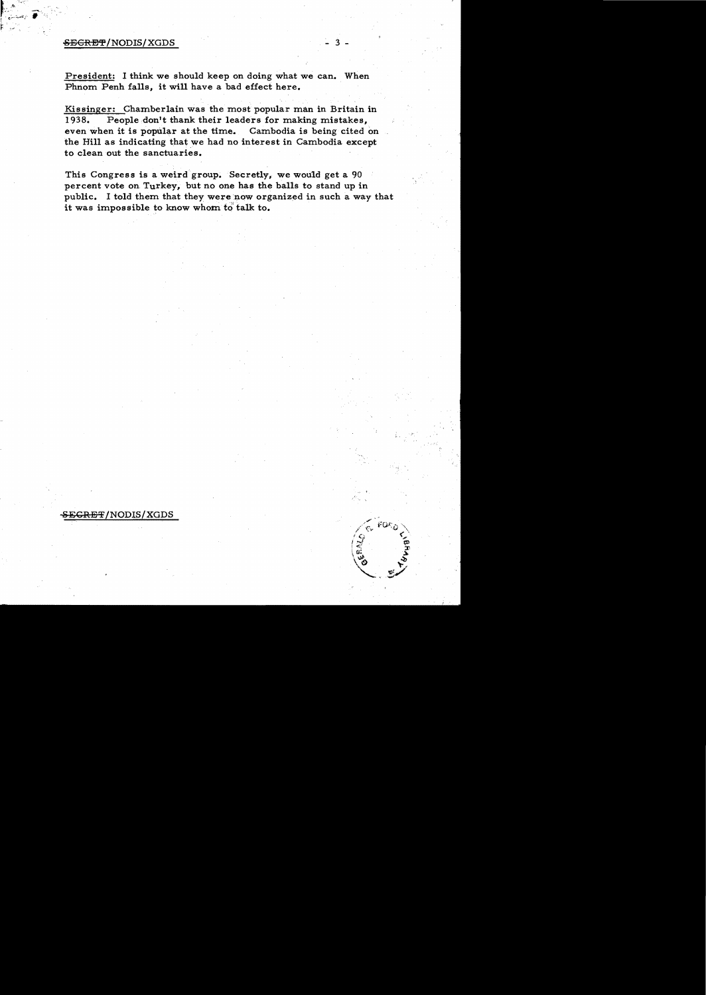## $E\textrm{EREF/NODIS/XGDS}$

President: I think we should keep on doing what we can. When Phnom Penh falls, it will have a bad effect here.

Kissinger: Chamberlain was the most popular man in Britain in 1938. People don't thank their leaders for making mistakes, even when it is popular at the time. Cambodia is being cited on the Hill as indicating that we had no interest in Cambodia except to clean out the sanctuaries.

This Congress is a weird group. Secretly, we would get a 90 percent vote on Turkey, but no one has the balls to stand up in public. I told them that they were now organized in such a way that it was impossible to know whom to talk to.

SECRET/NODIS/XGDS

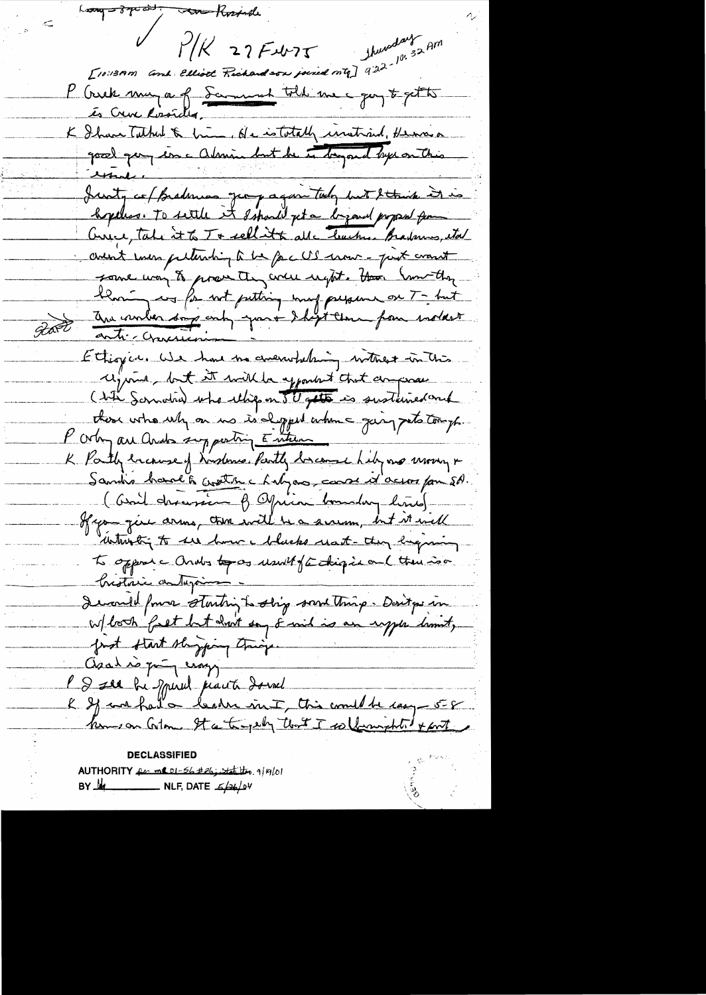$L_{\text{avg}} = \frac{3}{7} \pi a + \frac{1}{2}$ to Rosinde 1/15 27 Fubr 75 Shureday 52 AM P Creek muza of Samuel told me quy t get to K Ihave Tuthed & him, He istotally instraind, Hennes good que inc abrime but he is bayond by anthis  $\frac{1}{\sqrt{2\pi}}$ Justy co/Brademas geographic tody but Stand it is hopeless. To settle it ssparly get a begand proposed from Curice, take it to T+ sellitte alle teaches. Bradennes, etal avent even peternhip à la pac US error - peux cranit some way to prove they were regist. How Sure they than any for not putting may persone on T- but Part anti-croisin par dépt une pour notart Ethiopics We have the concern belowing without in this required but it will be exposited that domprove ( bite Somotive) who ellips on 50 gets is sustained and there who why on us is depped when a joing pets tomph. P orby are and supporting Entrem K Partly because of Nusdanse Partly bacanse hely me wrong + Sandis band to create chalgons, consent ocean pour 50 ( bail dernien of Officer boundary hims) If you give arms, there will be a surem, but it will which to see how helsels reat - they beginning to opposic Ondos topos usually continged on ( there is a histoire autorins I would found starting to ship something. Don't po in first start slagging tringer Asal is qui croys V & see be spiral part donnel & If we had a leader int, this would be cauge 5-8 komson Colon It a trapely that I sollerwight of part CLASSIF AUTHORITY for me DI-56 #26; state theo. 9/19/01

BY MA \_\_\_\_\_\_\_\_\_\_\_\_ NLF, DATE 5/26/04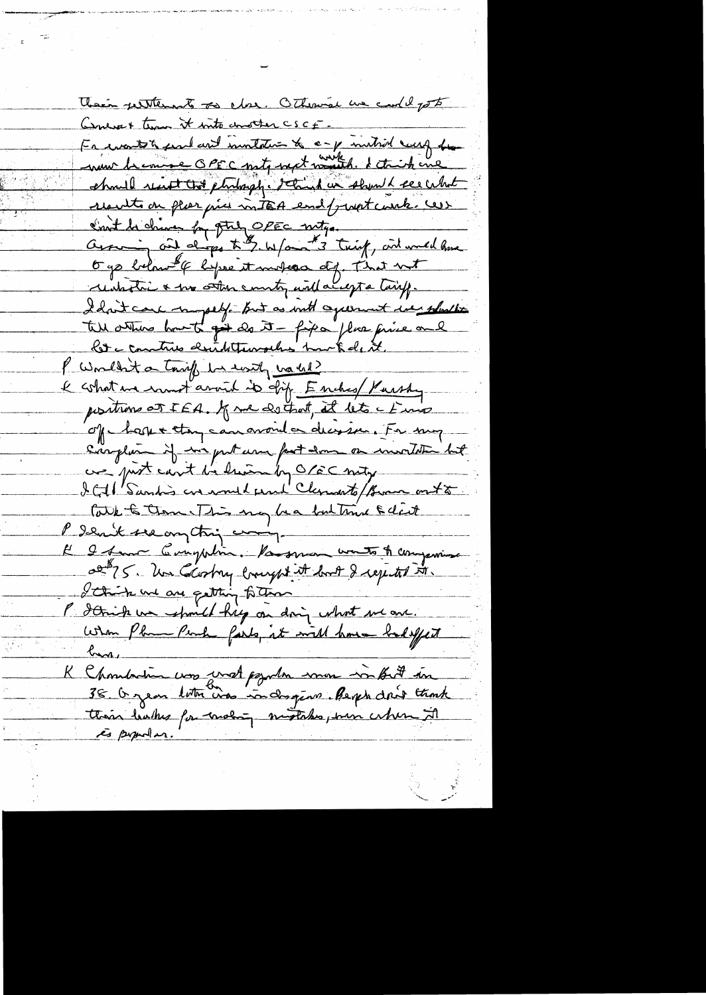Their petitions so clos. Otherwise we could go to Concret time it into constan CSCF Fr wants to fear and involtation to any institute carry from we because OPEC not with late of the should recent that philosophe school in should see what results on place price in TEA end/ just couch. Cess Envit la chine for ptil OPEC notre.<br>Avec in alongs to \$ w/an \$ 3 trief, and would have Ogs below of before it makes of That not untative & the other country will accept a turiff. I don't care in pelif. But as with agreement we should tell attens hout gu do it - fixa plus fine and let a contrib desidetementes hur tedet. P Wouldn't a tariff be easily washed? l what we want around it ship Enches / Yurshy positions at IEA. J me do that, it lets a know of have they can avoid a decision. For my Sanghim if we put user part down on involvement we just can't be him by O/EC nety ICAL Sandis are would pend Clements/Burn onto Care to them This my hear but time & dart P denit sea on this comp-El le fam Compatin. Va sera unita A companina 02875. Un Clostry compt it bot I repetit m. L'Onite une avec quitting to theme P danish we should hip on doing what we are. When Pha Peach farly at will have bad effect har. K Chombation was vost psynta mon infut in is popular.